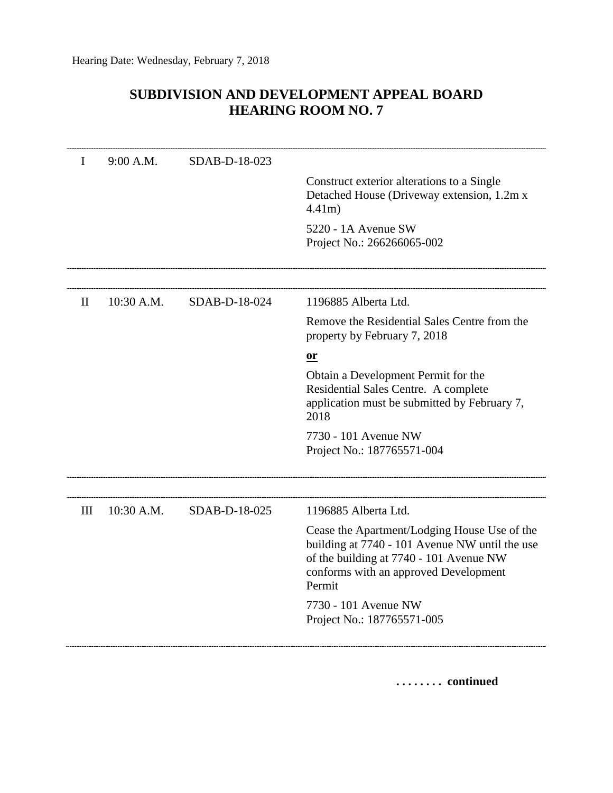## **SUBDIVISION AND DEVELOPMENT APPEAL BOARD HEARING ROOM NO. 7**

| I            | 9:00 A.M.  | SDAB-D-18-023 |                                                                                                                                                                                              |
|--------------|------------|---------------|----------------------------------------------------------------------------------------------------------------------------------------------------------------------------------------------|
|              |            |               | Construct exterior alterations to a Single<br>Detached House (Driveway extension, 1.2m x<br>$4.41m$ )                                                                                        |
|              |            |               | 5220 - 1A Avenue SW<br>Project No.: 266266065-002                                                                                                                                            |
|              |            |               |                                                                                                                                                                                              |
| $\mathbf{I}$ | 10:30 A.M. | SDAB-D-18-024 | 1196885 Alberta Ltd.                                                                                                                                                                         |
|              |            |               | Remove the Residential Sales Centre from the<br>property by February 7, 2018                                                                                                                 |
|              |            |               | or                                                                                                                                                                                           |
|              |            |               | Obtain a Development Permit for the<br>Residential Sales Centre. A complete<br>application must be submitted by February 7,<br>2018                                                          |
|              |            |               | 7730 - 101 Avenue NW<br>Project No.: 187765571-004                                                                                                                                           |
| III          | 10:30 A.M. | SDAB-D-18-025 | 1196885 Alberta Ltd.                                                                                                                                                                         |
|              |            |               | Cease the Apartment/Lodging House Use of the<br>building at 7740 - 101 Avenue NW until the use<br>of the building at 7740 - 101 Avenue NW<br>conforms with an approved Development<br>Permit |
|              |            |               | 7730 - 101 Avenue NW<br>Project No.: 187765571-005                                                                                                                                           |

**. . . . . . . . continued**